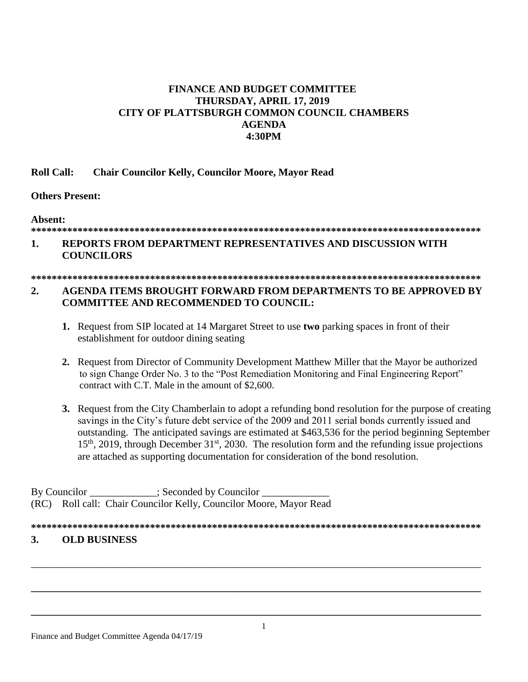# **FINANCE AND BUDGET COMMITTEE THURSDAY, APRIL 17, 2019 CITY OF PLATTSBURGH COMMON COUNCIL CHAMBERS AGENDA 4:30PM**

## **Roll Call: Chair Councilor Kelly, Councilor Moore, Mayor Read**

### **Others Present:**

#### **Absent:**

#### **\*\*\*\*\*\*\*\*\*\*\*\*\*\*\*\*\*\*\*\*\*\*\*\*\*\*\*\*\*\*\*\*\*\*\*\*\*\*\*\*\*\*\*\*\*\*\*\*\*\*\*\*\*\*\*\*\*\*\*\*\*\*\*\*\*\*\*\*\*\*\*\*\*\*\*\*\*\*\*\*\*\*\*\*\*\*\***

## **1. REPORTS FROM DEPARTMENT REPRESENTATIVES AND DISCUSSION WITH COUNCILORS**

# **\*\*\*\*\*\*\*\*\*\*\*\*\*\*\*\*\*\*\*\*\*\*\*\*\*\*\*\*\*\*\*\*\*\*\*\*\*\*\*\*\*\*\*\*\*\*\*\*\*\*\*\*\*\*\*\*\*\*\*\*\*\*\*\*\*\*\*\*\*\*\*\*\*\*\*\*\*\*\*\*\*\*\*\*\*\*\***

# **2. AGENDA ITEMS BROUGHT FORWARD FROM DEPARTMENTS TO BE APPROVED BY COMMITTEE AND RECOMMENDED TO COUNCIL:**

- **1.** Request from SIP located at 14 Margaret Street to use **two** parking spaces in front of their establishment for outdoor dining seating
- **2.** Request from Director of Community Development Matthew Miller that the Mayor be authorized to sign Change Order No. 3 to the "Post Remediation Monitoring and Final Engineering Report" contract with C.T. Male in the amount of \$2,600.
- **3.** Request from the City Chamberlain to adopt a refunding bond resolution for the purpose of creating savings in the City's future debt service of the 2009 and 2011 serial bonds currently issued and outstanding. The anticipated savings are estimated at \$463,536 for the period beginning September  $15<sup>th</sup>$ , 2019, through December 31<sup>st</sup>, 2030. The resolution form and the refunding issue projections are attached as supporting documentation for consideration of the bond resolution.

By Councilor \_\_\_\_\_\_\_\_\_\_\_\_\_; Seconded by Councilor \_\_\_\_\_\_\_\_\_\_\_\_\_ (RC) Roll call: Chair Councilor Kelly, Councilor Moore, Mayor Read

**\*\*\*\*\*\*\*\*\*\*\*\*\*\*\*\*\*\*\*\*\*\*\*\*\*\*\*\*\*\*\*\*\*\*\*\*\*\*\*\*\*\*\*\*\*\*\*\*\*\*\*\*\*\*\*\*\*\*\*\*\*\*\*\*\*\*\*\*\*\*\*\*\*\*\*\*\*\*\*\*\*\*\*\*\*\*\***

\_\_\_\_\_\_\_\_\_\_\_\_\_\_\_\_\_\_\_\_\_\_\_\_\_\_\_\_\_\_\_\_\_\_\_\_\_\_\_\_\_\_\_\_\_\_\_\_\_\_\_\_\_\_\_\_\_\_\_\_\_\_\_\_\_\_\_\_\_\_\_\_\_\_\_\_\_\_\_\_\_\_\_\_\_\_\_

**\_\_\_\_\_\_\_\_\_\_\_\_\_\_\_\_\_\_\_\_\_\_\_\_\_\_\_\_\_\_\_\_\_\_\_\_\_\_\_\_\_\_\_\_\_\_\_\_\_\_\_\_\_\_\_\_\_\_\_\_\_\_\_\_\_\_\_\_\_\_\_\_\_\_\_\_\_\_\_\_\_\_\_\_\_\_\_**

**\_\_\_\_\_\_\_\_\_\_\_\_\_\_\_\_\_\_\_\_\_\_\_\_\_\_\_\_\_\_\_\_\_\_\_\_\_\_\_\_\_\_\_\_\_\_\_\_\_\_\_\_\_\_\_\_\_\_\_\_\_\_\_\_\_\_\_\_\_\_\_\_\_\_\_\_\_\_\_\_\_\_\_\_\_\_\_**

## **3. OLD BUSINESS**

Finance and Budget Committee Agenda 04/17/19